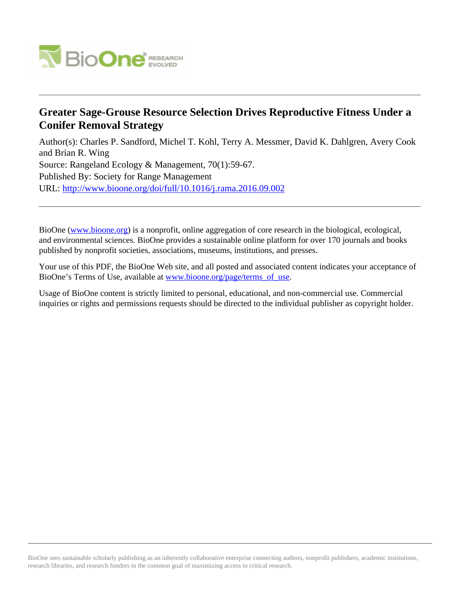

# **Greater Sage-Grouse Resource Selection Drives Reproductive Fitness Under a Conifer Removal Strategy**

Author(s): Charles P. Sandford, Michel T. Kohl, Terry A. Messmer, David K. Dahlgren, Avery Cook and Brian R. Wing Source: Rangeland Ecology & Management, 70(1):59-67. Published By: Society for Range Management URL: <http://www.bioone.org/doi/full/10.1016/j.rama.2016.09.002>

BioOne [\(www.bioone.org\)](http://www.bioone.org) is a nonprofit, online aggregation of core research in the biological, ecological, and environmental sciences. BioOne provides a sustainable online platform for over 170 journals and books published by nonprofit societies, associations, museums, institutions, and presses.

Your use of this PDF, the BioOne Web site, and all posted and associated content indicates your acceptance of BioOne's Terms of Use, available at [www.bioone.org/page/terms\\_of\\_use.](http://www.bioone.org/page/terms_of_use)

Usage of BioOne content is strictly limited to personal, educational, and non-commercial use. Commercial inquiries or rights and permissions requests should be directed to the individual publisher as copyright holder.

BioOne sees sustainable scholarly publishing as an inherently collaborative enterprise connecting authors, nonprofit publishers, academic institutions, research libraries, and research funders in the common goal of maximizing access to critical research.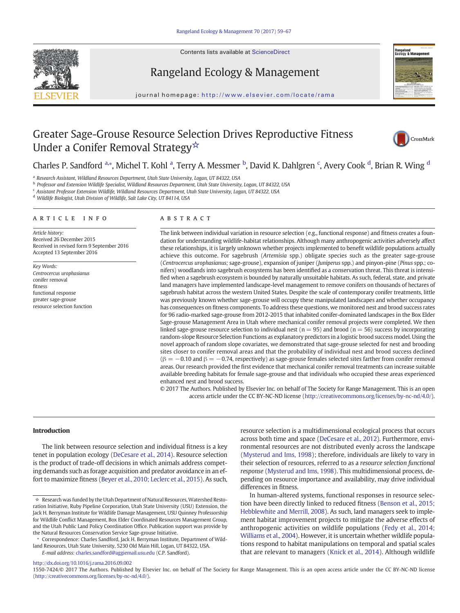

# Rangeland Ecology & Management



journal homepage: http://www.elsevier.com/locate/rama

# Greater Sage-Grouse Resource Selection Drives Reproductive Fitness Under a Conifer Removal Strategy☆



# Charles P. Sandford <sup>a,\*</sup>, Michel T. Kohl <sup>a</sup>, Terry A. Messmer <sup>b</sup>, David K. Dahlgren <sup>c</sup>, Avery Cook <sup>d</sup>, Brian R. Wing <sup>d</sup>

<sup>a</sup> Research Assistant, Wildland Resources Department, Utah State University, Logan, UT 84322, USA

<sup>b</sup> Professor and Extension Wildlife Specialist, Wildland Resources Department, Utah State University, Logan, UT 84322, USA

<sup>c</sup> Assistant Professor Extension Wildlife, Wildland Resources Department, Utah State University, Logan, UT 84322, USA

<sup>d</sup> Wildlife Biologist, Utah Division of Wildlife, Salt Lake City, UT 84114, USA

#### article info abstract

Article history: Received 26 December 2015 Received in revised form 9 September 2016 Accepted 13 September 2016

Key Words: Centrocercus urophasianus conifer removal fitness functional response greater sage-grouse resource selection function

The link between individual variation in resource selection (e.g., functional response) and fitness creates a foundation for understanding wildlife-habitat relationships. Although many anthropogenic activities adversely affect these relationships, it is largely unknown whether projects implemented to benefit wildlife populations actually achieve this outcome. For sagebrush (Artemisia spp.) obligate species such as the greater sage-grouse (Centrocercus urophasianus; sage-grouse), expansion of juniper (Juniperus spp.) and pinyon-pine (Pinus spp.; conifers) woodlands into sagebrush ecosystems has been identified as a conservation threat. This threat is intensified when a sagebrush ecosystem is bounded by naturally unsuitable habitats. As such, federal, state, and private land managers have implemented landscape-level management to remove conifers on thousands of hectares of sagebrush habitat across the western United States. Despite the scale of contemporary conifer treatments, little was previously known whether sage-grouse will occupy these manipulated landscapes and whether occupancy has consequences on fitness components. To address these questions, we monitored nest and brood success rates for 96 radio-marked sage-grouse from 2012-2015 that inhabited conifer-dominated landscapes in the Box Elder Sage-grouse Management Area in Utah where mechanical conifer removal projects were completed. We then linked sage-grouse resource selection to individual nest ( $n = 95$ ) and brood ( $n = 56$ ) success by incorporating random-slope Resource Selection Functions as explanatory predictors in a logistic brood success model. Using the novel approach of random slope covariates, we demonstrated that sage-grouse selected for nest and brooding sites closer to conifer removal areas and that the probability of individual nest and brood success declined  $(\beta = -0.10$  and  $\beta = -0.74$ , respectively) as sage-grouse females selected sites farther from conifer removal areas. Our research provided the first evidence that mechanical conifer removal treatments can increase suitable available breeding habitats for female sage-grouse and that individuals who occupied these areas experienced enhanced nest and brood success.

© 2017 The Authors. Published by Elsevier Inc. on behalf of The Society for Range Management. This is an open access article under the CC BY-NC-ND license (http://creativecommons.org/licenses/by-nc-nd/4.0/).

## Introduction

The link between resource selection and individual fitness is a key tenet in population ecology [\(DeCesare et al., 2014](#page-8-0)). Resource selection is the product of trade-off decisions in which animals address competing demands such as forage acquisition and predator avoidance in an effort to maximize fitness ([Beyer et al., 2010; Leclerc et al., 2015](#page-8-0)). As such,

E-mail address: [charles.sandford@aggiemail.usu.edu](mailto:charles.sandford@aggiemail.usu.edu) (C.P. Sandford).

resource selection is a multidimensional ecological process that occurs across both time and space ([DeCesare et al., 2012\)](#page-8-0). Furthermore, environmental resources are not distributed evenly across the landscape [\(Mysterud and Ims, 1998](#page-9-0)); therefore, individuals are likely to vary in their selection of resources, referred to as a resource selection functional response ([Mysterud and Ims, 1998](#page-9-0)). This multidimensional process, depending on resource importance and availability, may drive individual differences in fitness.

In human-altered systems, functional responses in resource selection have been directly linked to reduced fitness ([Benson et al., 2015;](#page-8-0) [Hebblewhite and Merrill, 2008](#page-8-0)). As such, land managers seek to implement habitat improvement projects to mitigate the adverse effects of anthropogenic activities on wildlife populations ([Fedy et al., 2014;](#page-8-0) [Williams et al., 2004\)](#page-8-0). However, it is uncertain whether wildlife populations respond to habitat manipulations on temporal and spatial scales that are relevant to managers ([Knick et al., 2014\)](#page-9-0). Although wildlife

<http://dx.doi.org/10.1016/j.rama.2016.09.002>

<sup>☆</sup> Research was funded by the Utah Department of Natural Resources, Watershed Restoration Initiative, Ruby Pipeline Corporation, Utah State University (USU) Extension, the Jack H. Berryman Institute for Wildlife Damage Management, USU Quinney Professorship for Wildlife Conflict Management, Box Elder Coordinated Resources Management Group, and the Utah Public Land Policy Coordination Office. Publication support was provide by the Natural Resources Conservation Service Sage-grouse Initiative.

<sup>⁎</sup> Correspondence: Charles Sandford, Jack H. Berryman Institute, Department of Wildland Resources, Utah State University, 5230 Old Main Hill, Logan, UT 84322, USA.

<sup>1550-7424/© 2017</sup> The Authors. Published by Elsevier Inc. on behalf of The Society for Range Management. This is an open access article under the CC BY-NC-ND license (http://creativecommons.org/licenses/by-nc-nd/4.0/).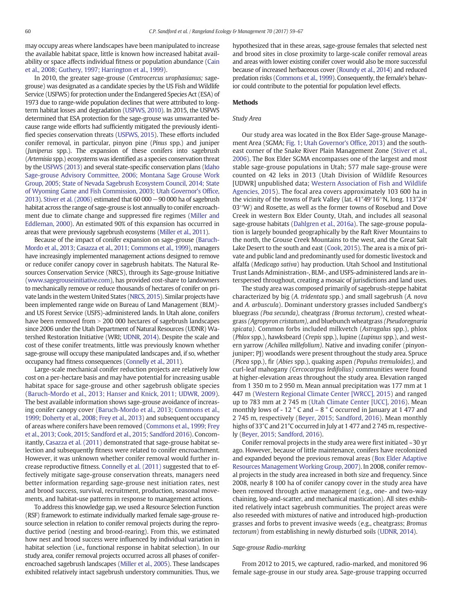may occupy areas where landscapes have been manipulated to increase the available habitat space, little is known how increased habitat availability or space affects individual fitness or population abundance ([Cain](#page-8-0) [et al., 2008; Guthery, 1997; Harrington et al., 1999\)](#page-8-0).

In 2010, the greater sage-grouse (Centrocercus urophasianus; sagegrouse) was designated as a candidate species by the US Fish and Wildlife Service (USFWS) for protection under the Endangered Species Act (ESA) of 1973 due to range-wide population declines that were attributed to longterm habitat losses and degradation ([USFWS, 2010\)](#page-9-0). In 2015, the USFWS determined that ESA protection for the sage-grouse was unwarranted because range wide efforts had sufficiently mitigated the previously identified species conservation threats [\(USFWS, 2015](#page-9-0)). These efforts included conifer removal, in particular, pinyon pine (Pinus spp.) and juniper (Juniperus spp.). The expansion of these conifers into sagebrush (Artemisia spp.) ecosystems was identified as a species conservation threat by the [USFWS \(2013\)](#page-9-0) and several state-specific conservation plans [\(Idaho](#page-9-0) [Sage-grouse Advisory Committee, 2006; Montana Sage Grouse Work](#page-9-0) [Group, 2005; State of Nevada Sagebrush Ecosystem Council, 2014; State](#page-9-0) [of Wyoming Game and Fish Commission, 2003; Utah Governor](#page-9-0)'s Office, [2013\)](#page-9-0). [Stiver et al. \(2006\)](#page-9-0) estimated that 60 000−90 000 ha of sagebrush habitat across the range of sage-grouse is lost annually to conifer encroachment due to climate change and suppressed fire regimes [\(Miller and](#page-9-0) [Eddleman, 2000](#page-9-0)). An estimated 90% of this expansion has occurred in areas that were previously sagebrush ecosystems [\(Miller et al., 2011\)](#page-9-0).

Because of the impact of conifer expansion on sage-grouse [\(Baruch-](#page-8-0)[Mordo et al., 2013; Casazza et al., 2011; Commons et al., 1999\)](#page-8-0), managers have increasingly implemented management actions designed to remove or reduce conifer canopy cover in sagebrush habitats. The Natural Resources Conservation Service (NRCS), through its Sage-grouse Initiative ([www.sagegrouseinitiative.com\)](http://www.sagegrouseinitiative.com), has provided cost-share to landowners to mechanically remove or reduce thousands of hectares of conifer on private lands in the western United States ([NRCS, 2015\)](#page-9-0). Similar projects have been implemented range wide on Bureau of Land Management (BLM) and US Forest Service (USFS)-administered lands. In Utah alone, conifers have been removed from  $> 200 000$  hectares of sagebrush landscapes since 2006 under the Utah Department of Natural Resources (UDNR) Watershed Restoration Initiative (WRI; [UDNR, 2014\)](#page-9-0). Despite the scale and cost of these conifer treatments, little was previously known whether sage-grouse will occupy these manipulated landscapes and, if so, whether occupancy had fitness consequences ([Connelly et al., 2011\)](#page-8-0).

Large-scale mechanical conifer reduction projects are relatively low cost on a per-hectare basis and may have potential for increasing usable habitat space for sage-grouse and other sagebrush obligate species ([Baruch-Mordo et al., 2013; Hanser and Knick, 2011; UDWR, 2009](#page-8-0)). The best available information shows sage-grouse avoidance of increasing conifer canopy cover ([Baruch-Mordo et al., 2013; Commons et al.,](#page-8-0) [1999; Doherty et al., 2008; Frey et al., 2013](#page-8-0)) and subsequent occupancy of areas where conifers have been removed [\(Commons et al., 1999; Frey](#page-8-0) [et al., 2013; Cook, 2015; Sandford et al., 2015; Sandford 2016\)](#page-8-0). Concomitantly, [Casazza et al. \(2011\)](#page-8-0) demonstrated that sage-grouse habitat selection and subsequently fitness were related to conifer encroachment. However, it was unknown whether conifer removal would further increase reproductive fitness. [Connelly et al. \(2011\)](#page-8-0) suggested that to effectively mitigate sage-grouse conservation threats, managers need better information regarding sage-grouse nest initiation rates, nest and brood success, survival, recruitment, production, seasonal movements, and habitat-use patterns in response to management actions.

To address this knowledge gap, we used a Resource Selection Function (RSF) framework to estimate individually marked female sage-grouse resource selection in relation to conifer removal projects during the reproductive period (nesting and brood-rearing). From this, we estimated how nest and brood success were influenced by individual variation in habitat selection (i.e., functional response in habitat selection). In our study area, conifer removal projects occurred across all phases of coniferencroached sagebrush landscapes [\(Miller et al., 2005](#page-9-0)). These landscapes exhibited relatively intact sagebrush understory communities. Thus, we hypothesized that in these areas, sage-grouse females that selected nest and brood sites in close proximity to large-scale conifer removal areas and areas with lower existing conifer cover would also be more successful because of increased herbaceous cover ([Roundy et al., 2014](#page-9-0)) and reduced predation risks [\(Commons et al., 1999\)](#page-8-0). Consequently, the female's behavior could contribute to the potential for population level effects.

# Methods

# Study Area

Our study area was located in the Box Elder Sage-grouse Management Area (SGMA; [Fig. 1;](#page-3-0) [Utah Governor](#page-9-0)'s Office, 2013) and the southeast corner of the Snake River Plain Management Zone [\(Stiver et al.,](#page-9-0) [2006\)](#page-9-0). The Box Elder SGMA encompasses one of the largest and most stable sage-grouse populations in Utah; 577 male sage-grouse were counted on 42 leks in 2013 (Utah Division of Wildlife Resources [UDWR] unpublished data; [Western Association of Fish and Wildlife](#page-9-0) [Agencies, 2015\)](#page-9-0). The focal area covers approximately 103 600 ha in the vicinity of the towns of Park Valley (lat. 41°49′16′′N, long. 113°24′ 03′′W) and Rosette, as well as the former towns of Rosebud and Dove Creek in western Box Elder County, Utah, and includes all seasonal sage-grouse habitats [\(Dahlgren et al., 2016a\)](#page-8-0). The sage-grouse population is largely bounded geographically by the Raft River Mountains to the north, the Grouse Creek Mountains to the west, and the Great Salt Lake Desert to the south and east [\(Cook, 2015](#page-8-0)). The area is a mix of private and public land and predominantly used for domestic livestock and alfalfa (Medicago sativa) hay production. Utah School and Institutional Trust Lands Administration-, BLM-, and USFS-administered lands are interspersed throughout, creating a mosaic of jurisdictions and land uses.

The study area was composed primarily of sagebrush-steppe habitat characterized by big (A. tridentata spp.) and small sagebrush (A. nova and A. arbuscula). Dominant understory grasses included Sandberg's bluegrass (Poa secunda), cheatgrass (Bromus tectorum), crested wheatgrass (Agropyron cristatum), and bluebunch wheatgrass (Pseudoregnaria spicata). Common forbs included milkvetch (Astragalus spp.), phlox (Phlox spp.), hawksbeard (Crepis spp.), lupine (Lupinus spp.), and western yarrow (Achillea millefolium). Native and invading conifer (pinyonjuniper; PJ) woodlands were present throughout the study area. Spruce (Picea spp.), fir (Abies spp.), quaking aspen (Populus tremuloides), and curl-leaf mahogany (Cercocarpus ledifolius) communities were found at higher-elevation areas throughout the study area. Elevation ranged from 1 350 m to 2 950 m. Mean annual precipitation was 177 mm at 1 447 m ([Western Regional Climate Center \[WRCC\], 2015](#page-9-0)) and ranged up to 783 mm at 2 745 m ([Utah Climate Center \[UCC\], 2016](#page-9-0)). Mean monthly lows of - 12 ° C and – 8 ° C occurred in January at 1 477 and 2 745 m, respectively [\(Beyer, 2015; Sandford, 2016\)](#page-8-0). Mean monthly highs of 33°C and 21°C occurred in July at 1 477 and 2 745 m, respectively [\(Beyer, 2015; Sandford, 2016\)](#page-8-0).

Conifer removal projects in the study area were first initiated ~30 yr ago. However, because of little maintenance, conifers have recolonized and expanded beyond the previous removal areas ([Box Elder Adaptive](#page-8-0) [Resources Management Working Group, 2007](#page-8-0)). In 2008, conifer removal projects in the study area increased in both size and frequency. Since 2008, nearly 8 100 ha of conifer canopy cover in the study area have been removed through active management (e.g., one- and two-way chaining, lop-and-scatter, and mechanical mastication). All sites exhibited relatively intact sagebrush communities. The project areas were also reseeded with mixtures of native and introduced high-production grasses and forbs to prevent invasive weeds (e.g., cheatgrass; Bromus tectorum) from establishing in newly disturbed soils ([UDNR, 2014\)](#page-9-0).

# Sage-grouse Radio-marking

From 2012 to 2015, we captured, radio-marked, and monitored 96 female sage-grouse in our study area. Sage-grouse trapping occurred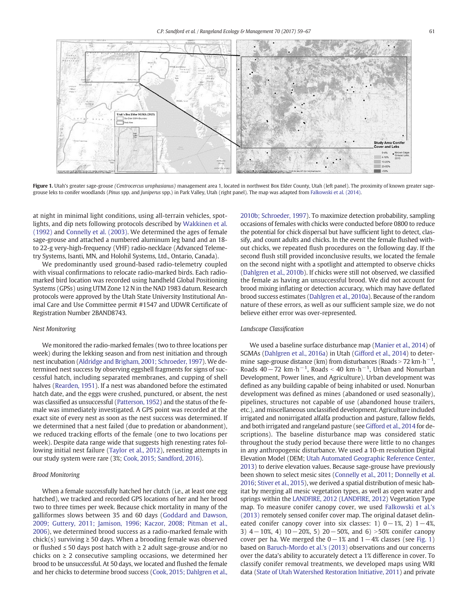<span id="page-3-0"></span>

Figure 1. Utah's greater sage-grouse (Centrocercus urophasianus) management area 1, located in northwest Box Elder County, Utah (left panel). The proximity of known greater sagegrouse leks to conifer woodlands (Pinus spp. and Juniperus spp.) in Park Valley, Utah (right panel). The map was adapted from [Falkowski et al. \(2014\).](#page-8-0)

at night in minimal light conditions, using all-terrain vehicles, spotlights, and dip nets following protocols described by [Wakkinen et al.](#page-9-0) [\(1992\)](#page-9-0) and [Connelly et al. \(2003\).](#page-8-0) We determined the ages of female sage-grouse and attached a numbered aluminum leg band and an 18 to 22-g very-high-frequency (VHF) radio-necklace (Advanced Telemetry Systems, Isanti, MN, and Holohil Systems, Ltd., Ontario, Canada).

We predominantly used ground-based radio-telemetry coupled with visual confirmations to relocate radio-marked birds. Each radiomarked bird location was recorded using handheld Global Positioning Systems (GPSs) using UTM Zone 12 N in the NAD 1983 datum. Research protocols were approved by the Utah State University Institutional Animal Care and Use Committee permit #1547 and UDWR Certificate of Registration Number 2BAND8743.

# Nest Monitoring

We monitored the radio-marked females (two to three locations per week) during the lekking season and from nest initiation and through nest incubation ([Aldridge and Brigham, 2001; Schroeder, 1997](#page-8-0)). We determined nest success by observing eggshell fragments for signs of successful hatch, including separated membranes, and cupping of shell halves [\(Rearden, 1951\)](#page-9-0). If a nest was abandoned before the estimated hatch date, and the eggs were crushed, punctured, or absent, the nest was classified as unsuccessful [\(Patterson, 1952\)](#page-9-0) and the status of the female was immediately investigated. A GPS point was recorded at the exact site of every nest as soon as the nest success was determined. If we determined that a nest failed (due to predation or abandonment), we reduced tracking efforts of the female (one to two locations per week). Despite data range wide that suggests high renesting rates following initial nest failure [\(Taylor et al., 2012\)](#page-9-0), renesting attempts in our study system were rare (3%; [Cook, 2015; Sandford, 2016](#page-8-0)).

### Brood Monitoring

When a female successfully hatched her clutch (i.e., at least one egg hatched), we tracked and recorded GPS locations of her and her brood two to three times per week. Because chick mortality in many of the galliformes slows between 35 and 60 days [\(Goddard and Dawson,](#page-9-0) [2009; Guttery, 2011; Jamison, 1996; Kaczor, 2008; Pitman et al.,](#page-9-0) [2006\)](#page-9-0), we determined brood success as a radio-marked female with chick(s) surviving  $\geq 50$  days. When a brooding female was observed or flushed ≤ 50 days post hatch with ≥ 2 adult sage-grouse and/or no chicks on  $\geq 2$  consecutive sampling occasions, we determined her brood to be unsuccessful. At 50 days, we located and flushed the female and her chicks to determine brood success [\(Cook, 2015; Dahlgren et al.,](#page-8-0)

[2010b; Schroeder, 1997](#page-8-0)). To maximize detection probability, sampling occasions of females with chicks were conducted before 0800 to reduce the potential for chick dispersal but have sufficient light to detect, classify, and count adults and chicks. In the event the female flushed without chicks, we repeated flush procedures on the following day. If the second flush still provided inconclusive results, we located the female on the second night with a spotlight and attempted to observe chicks [\(Dahlgren et al., 2010b](#page-8-0)). If chicks were still not observed, we classified the female as having an unsuccessful brood. We did not account for brood mixing inflating or detection accuracy, which may have deflated brood success estimates ([Dahlgren et al., 2010a](#page-8-0)). Because of the random nature of these errors, as well as our sufficient sample size, we do not believe either error was over-represented.

# Landscape Classification

We used a baseline surface disturbance map ([Manier et al., 2014](#page-9-0)) of SGMAs ([Dahlgren et al., 2016a](#page-8-0)) in Utah ([Gifford et al., 2014](#page-9-0)) to determine sage-grouse distance (km) from disturbances (Roads > 72 km⋅h $^{-1}$ , Roads 40 $-72\,$  km $\cdot$ h $^{-1}$ , Roads < 40 km $\cdot$ h $^{-1}$ , Urban and Nonurban Development, Power lines, and Agriculture). Urban development was defined as any building capable of being inhabited or used. Nonurban development was defined as mines (abandoned or used seasonally), pipelines, structures not capable of use (abandoned house trailers, etc.), and miscellaneous unclassified development. Agriculture included irrigated and nonirrigated alfalfa production and pasture, fallow fields, and both irrigated and rangeland pasture (see [Gifford et al., 2014](#page-9-0) for descriptions). The baseline disturbance map was considered static throughout the study period because there were little to no changes in any anthropogenic disturbance. We used a 10-m resolution Digital Elevation Model (DEM; [Utah Automated Geographic Reference Center,](#page-9-0) [2013](#page-9-0)) to derive elevation values. Because sage-grouse have previously been shown to select mesic sites ([Connelly et al., 2011](#page-8-0); [Donnelly et al.](#page-8-0) [2016](#page-8-0); [Stiver et al., 2015\)](#page-9-0), we derived a spatial distribution of mesic habitat by merging all mesic vegetation types, as well as open water and springs within the [LANDFIRE, 2012](#page-9-0) ([LANDFIRE, 2012](#page-9-0)) Vegetation Type map. To measure conifer canopy cover, we used [Falkowski et al.](#page-8-0)'s [\(2013\)](#page-8-0) remotely sensed conifer cover map. The original dataset delineated conifer canopy cover into six classes: 1)  $0-1\%$ , 2)  $1-4\%$ , 3) 4-10%, 4) 10-20%, 5) 20-50%, and 6) >50% conifer canopy cover per ha. We merged the  $0-1%$  and  $1-4%$  classes (see Fig. 1) based on [Baruch-Mordo et al.](#page-8-0)'s (2013) observations and our concerns over the data's ability to accurately detect a 1% difference in cover. To classify conifer removal treatments, we developed maps using WRI data [\(State of Utah Watershed Restoration Initiative, 2011\)](#page-9-0) and private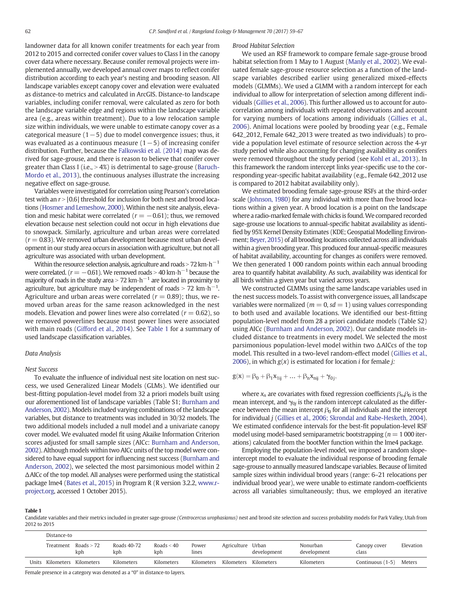landowner data for all known conifer treatments for each year from 2012 to 2015 and corrected conifer cover values to Class I in the canopy cover data where necessary. Because conifer removal projects were implemented annually, we developed annual cover maps to reflect conifer distribution according to each year's nesting and brooding season. All landscape variables except canopy cover and elevation were evaluated as distance-to metrics and calculated in ArcGIS. Distance-to landscape variables, including conifer removal, were calculated as zero for both the landscape variable edge and regions within the landscape variable area (e.g., areas within treatment). Due to a low relocation sample size within individuals, we were unable to estimate canopy cover as a categorical measure  $(1−5)$  due to model convergence issues; thus, it was evaluated as a continuous measure  $(1−5)$  of increasing conifer distribution. Further, because the [Falkowski et al. \(2014\)](#page-8-0) map was derived for sage-grouse, and there is reason to believe that conifer cover greater than Class I (i.e.,  $> 4\%$ ) is detrimental to sage-grouse [\(Baruch-](#page-8-0)[Mordo et al., 2013](#page-8-0)), the continuous analyses illustrate the increasing negative effect on sage-grouse.

Variables were investigated for correlation using Pearson's correlation test with an  $r > |0.6|$  threshold for inclusion for both nest and brood locations [\(Hosmer and Lemeshow, 2000](#page-9-0)). Within the nest site analysis, elevation and mesic habitat were correlated ( $r = -0.61$ ); thus, we removed elevation because nest selection could not occur in high elevations due to snowpack. Similarly, agriculture and urban areas were correlated  $(r = 0.83)$ . We removed urban development because most urban development in our study area occurs in association with agriculture, but not all agriculture was associated with urban development.

Within the resource selection analysis, agriculture and roads > 72 km⋅h<sup>-1</sup> were correlated. ( $r = -0.61$ ). We removed roads > 40 km⋅h<sup>-1</sup> because the majority of roads in the study area > 72 km⋅h<sup>-1</sup> are located in proximity to agriculture, but agriculture may be independent of roads > 72 km⋅h<sup>-1</sup>. Agriculture and urban areas were correlated ( $r = 0.89$ ); thus, we removed urban areas for the same reason acknowledged in the nest models. Elevation and power lines were also correlated ( $r = 0.62$ ), so we removed powerlines because most power lines were associated with main roads [\(Gifford et al., 2014](#page-9-0)). See Table 1 for a summary of used landscape classification variables.

# Data Analysis

#### Nest Success

To evaluate the influence of individual nest site location on nest success, we used Generalized Linear Models (GLMs). We identified our best-fitting population-level model from 32 a priori models built using our aforementioned list of landscape variables (Table S1; [Burnham and](#page-8-0) [Anderson, 2002](#page-8-0)). Models included varying combinations of the landscape variables, but distance to treatments was included in 30/32 models. The two additional models included a null model and a univariate canopy cover model. We evaluated model fit using Akaike Information Criterion scores adjusted for small sample sizes (AICc: [Burnham and Anderson,](#page-8-0) [2002\)](#page-8-0). Although models within two AICc units of the top model were considered to have equal support for influencing nest success [\(Burnham and](#page-8-0) [Anderson, 2002](#page-8-0)), we selected the most parsimonious model within 2 ΔAICc of the top model. All analyses were performed using the statistical package lme4 [\(Bates et al., 2015](#page-8-0)) in Program R (R version 3.2.2, [www.r](http://www.r-project.org)[project.org,](http://www.r-project.org) accessed 1 October 2015).

#### Brood Habitat Selection

We used an RSF framework to compare female sage-grouse brood habitat selection from 1 May to 1 August ([Manly et al., 2002](#page-9-0)). We evaluated female sage-grouse resource selection as a function of the landscape variables described earlier using generalized mixed-effects models (GLMMs). We used a GLMM with a random intercept for each individual to allow for interpretation of selection among different individuals [\(Gillies et al., 2006](#page-9-0)). This further allowed us to account for autocorrelation among individuals with repeated observations and account for varying numbers of locations among individuals ([Gillies et al.,](#page-9-0) [2006\)](#page-9-0). Animal locations were pooled by brooding year (e.g., Female 642\_2012, Female 642\_2013 were treated as two individuals) to provide a population level estimate of resource selection across the 4-yr study period while also accounting for changing availability as conifers were removed throughout the study period (see [Kohl et al., 2013\)](#page-9-0). In this framework the random intercept links year-specific use to the corresponding year-specific habitat availability (e.g., Female 642\_2012 use is compared to 2012 habitat availability only).

We estimated brooding female sage-grouse RSFs at the third-order scale ([Johnson, 1980\)](#page-9-0) for any individual with more than five brood locations within a given year. A brood location is a point on the landscape where a radio-marked female with chicks is found.We compared recorded sage-grouse use locations to annual-specific habitat availability as identified by 95% Kernel Density Estimates (KDE; Geospatial Modelling Environment; [Beyer, 2015](#page-8-0)) of all brooding locations collected across all individuals within a given brooding year. This produced four annual-specific measures of habitat availability, accounting for changes as conifers were removed. We then generated 1 000 random points within each annual brooding area to quantify habitat availability. As such, availability was identical for all birds within a given year but varied across years.

We constructed GLMMs using the same landscape variables used in the nest success models. To assist with convergence issues, all landscape variables were normalized ( $m = 0$ ,  $sd = 1$ ) using values corresponding to both used and available locations. We identified our best-fitting population-level model from 28 a priori candidate models (Table S2) using AICc ([Burnham and Anderson, 2002](#page-8-0)). Our candidate models included distance to treatments in every model. We selected the most parsimonious population-level model within two ΔAICcs of the top model. This resulted in a two-level random-effect model [\(Gillies et al.,](#page-9-0) [2006](#page-9-0)), in which  $g(x)$  is estimated for location *i* for female *j*:

# $g(x) = \beta_0 + \beta_1 x_{1ij} + \dots + \beta_n x_{nij} + \gamma_{0j}$

where  $x_n$  are covariates with fixed regression coefficients  $\beta_n$ , $\beta_0$  is the mean intercept, and  $\gamma_{0i}$  is the random intercept calculated as the difference between the mean intercept  $\beta_0$  for all individuals and the intercept for individual j [\(Gillies et al., 2006; Skrondal and Rabe-Hesketh, 2004](#page-9-0)). We estimated confidence intervals for the best-fit population-level RSF model using model-based semiparametric bootstrapping ( $n = 1000$  iterations) calculated from the bootMer function within the lme4 package.

Employing the population-level model, we imposed a random slopeintercept model to evaluate the individual response of brooding female sage-grouse to annually measured landscape variables. Because of limited sample sizes within individual brood years (range: 6–21 relocations per individual brood year), we were unable to estimate random-coefficients across all variables simultaneously; thus, we employed an iterative

#### Table 1

Candidate variables and their metrics included in greater sage-grouse (Centrocercus urophasianus) nest and brood site selection and success probability models for Park Valley, Utah from 2012 to 2015

|       | Distance-to |                     |                    |                     |                |                   |             |                         |                       |           |
|-------|-------------|---------------------|--------------------|---------------------|----------------|-------------------|-------------|-------------------------|-----------------------|-----------|
|       | Treatment   | Roads $> 72$<br>kph | Roads 40-72<br>kph | Roads $<$ 40<br>kph | Power<br>lines | Agriculture Urban | development | Nonurban<br>development | Canopy cover<br>class | Elevation |
| Units | Kilometers  | Kilometers          | Kilometers         | Kilometers          | Kilometers     | Kilometers        | Kilometers  | Kilometers              | Continuous (1-5)      | Meters    |
|       |             |                     |                    |                     |                |                   |             |                         |                       |           |

Female presence in a category was denoted as a "0" in distance-to layers.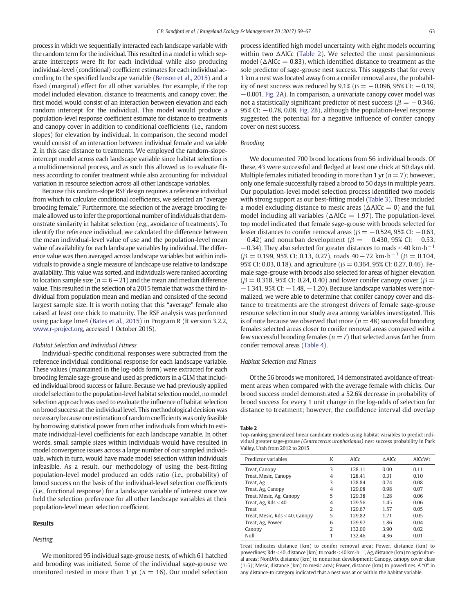process in which we sequentially interacted each landscape variable with the random term for the individual. This resulted in a model in which separate intercepts were fit for each individual while also producing individual-level (conditional) coefficient estimates for each individual according to the specified landscape variable ([Benson et al., 2015](#page-8-0)) and a fixed (marginal) effect for all other variables. For example, if the top model included elevation, distance to treatments, and canopy cover, the first model would consist of an interaction between elevation and each random intercept for the individual. This model would produce a population-level response coefficient estimate for distance to treatments and canopy cover in addition to conditional coefficients (i.e., random slopes) for elevation by individual. In comparison, the second model would consist of an interaction between individual female and variable 2, in this case distance to treatments. We employed the random-slopeintercept model across each landscape variable since habitat selection is a multidimensional process, and as such this allowed us to evaluate fitness according to conifer treatment while also accounting for individual variation in resource selection across all other landscape variables.

Because this random-slope RSF design requires a reference individual from which to calculate conditional coefficients, we selected an "average brooding female." Furthermore, the selection of the average brooding female allowed us to infer the proportional number of individuals that demonstrate similarity in habitat selection (e.g., avoidance of treatments). To identify the reference individual, we calculated the difference between the mean individual-level value of use and the population-level mean value of availability for each landscape variables by individual. The difference value was then averaged across landscape variables but within individuals to provide a single measure of landscape use relative to landscape availability. This value was sorted, and individuals were ranked according to location sample size ( $n = 6-21$ ) and the mean and median difference value. This resulted in the selection of a 2015 female that was the third individual from population mean and median and consisted of the second largest sample size. It is worth noting that this "average" female also raised at least one chick to maturity. The RSF analysis was performed using package lme4 [\(Bates et al., 2015](#page-8-0)) in Program R (R version 3.2.2, [www.r-project.org](http://www.r-project.org), accessed 1 October 2015).

#### Habitat Selection and Individual Fitness

Individual-specific conditional responses were subtracted from the reference individual conditional response for each landscape variable. These values (maintained in the log-odds form) were extracted for each brooding female sage-grouse and used as predictors in a GLM that included individual brood success or failure. Because we had previously applied model selection to the population-level habitat selection model, no model selection approach was used to evaluate the influence of habitat selection on brood success at the individual level. This methodological decision was necessary because our estimation of random coefficients was only feasible by borrowing statistical power from other individuals from which to estimate individual-level coefficients for each landscape variable. In other words, small sample sizes within individuals would have resulted in model convergence issues across a large number of our sampled individuals, which in turn, would have made model selection within individuals infeasible. As a result, our methodology of using the best-fitting population-level model produced an odds ratio (i.e., probability) of brood success on the basis of the individual-level selection coefficients (i.e., functional response) for a landscape variable of interest once we held the selection preference for all other landscape variables at their population-level mean selection coefficient.

#### Results

# Nesting

We monitored 95 individual sage-grouse nests, of which 61 hatched and brooding was initiated. Some of the individual sage-grouse we monitored nested in more than 1 yr ( $n = 16$ ). Our model selection process identified high model uncertainty with eight models occurring within two ΔAICc (Table 2). We selected the most parsimonious model ( $\triangle$ AICc = 0.83), which identified distance to treatment as the sole predictor of sage-grouse nest success. This suggests that for every 1 km a nest was located away from a conifer removal area, the probability of nest success was reduced by  $9.1\%$  ( $\beta = -0.096$ ,  $95\%$  CI:  $-0.19$ , −0.001, [Fig. 2](#page-6-0)A). In comparison, a univariate canopy cover model was not a statistically significant predictor of nest success ( $\beta = -0.346$ , 95% CI: −0.78, 0.08, [Fig. 2B](#page-6-0)), although the population-level response suggested the potential for a negative influence of conifer canopy cover on nest success.

#### Brooding

We documented 700 brood locations from 56 individual broods. Of these, 43 were successful and fledged at least one chick at 50 days old. Multiple females initiated brooding in more than 1 yr  $(n = 7)$ ; however, only one female successfully raised a brood to 50 days in multiple years. Our population-level model selection process identified two models with strong support as our best-fitting model ([Table 3](#page-6-0)). These included a model excluding distance to mesic areas ( $\Delta AICc = 0$ ) and the full model including all variables ( $\Delta$ AICc = 1.97). The population-level top model indicated that female sage-grouse with broods selected for lesser distances to conifer removal areas ( $\beta = -0.524$ , 95% CI:  $-0.63$ ,  $-0.42$ ) and nonurban development ( $\beta = -0.430$ , 95% CI:  $-0.53$ ,  $-0.34$ ). They also selected for greater distances to roads < 40 km⋅h<sup>-1</sup>  $(\beta = 0.199, 95\%$  CI: 0.13, 0.27), roads 40 – 72 km⋅h<sup>-1</sup> ( $\beta = 0.104$ , 95% CI: 0.03, 0.18), and agriculture ( $\beta = 0.364$ , 95% CI: 0.27, 0.46). Female sage-grouse with broods also selected for areas of higher elevation  $(\beta = 0.318, 95\%$  CI: 0.24, 0.40) and lower conifer canopy cover ( $\beta =$ −1.341, 95% CI: −1.48, −1.20). Because landscape variables were normalized, we were able to determine that conifer canopy cover and distance to treatments are the strongest drivers of female sage-grouse resource selection in our study area among variables investigated. This is of note because we observed that more ( $n = 48$ ) successful brooding females selected areas closer to conifer removal areas compared with a few successful brooding females ( $n=7$ ) that selected areas farther from conifer removal areas ([Table 4](#page-7-0)).

### Habitat Selection and Fitness

Of the 56 broods we monitored, 14 demonstrated avoidance of treatment areas when compared with the average female with chicks. Our brood success model demonstrated a 52.6% decrease in probability of brood success for every 1 unit change in the log-odds of selection for distance to treatment; however, the confidence interval did overlap

#### Table 2

Top-ranking generalized linear candidate models using habitat variables to predict individual greater sage-grouse (Centrocercus urophasianus) nest success probability in Park Valley, Utah from 2012 to 2015

| Predictor variables               | K             | AIC <sub>c</sub> | $\triangle$ AICc | <b>AICcWt</b> |
|-----------------------------------|---------------|------------------|------------------|---------------|
| Treat, Canopy                     | 3             | 128.11           | 0.00             | 0.11          |
| Treat, Mesic, Canopy              | 4             | 128.41           | 0.31             | 0.10          |
| Treat, Ag                         | 3             | 128.84           | 0.74             | 0.08          |
| Treat, Ag, Canopy                 | 4             | 129.08           | 0.98             | 0.07          |
| Treat, Mesic, Ag, Canopy          | 5             | 129.38           | 1.28             | 0.06          |
| Treat, Ag, $Rds < 40$             | 4             | 129.56           | 1.45             | 0.06          |
| Treat                             | 2             | 129.67           | 1.57             | 0.05          |
| Treat, Mesic, $Rds < 40$ , Canopy | 5             | 129.82           | 1.71             | 0.05          |
| Treat, Ag, Power                  | 6             | 129.97           | 1.86             | 0.04          |
| Canopy                            | $\mathcal{D}$ | 132.00           | 3.90             | 0.02          |
| Null                              |               | 132.46           | 4.36             | 0.01          |

Treat indicates distance (km) to conifer removal area; Power, distance (km) to powerlines; Rds < 40, distance (km) to roads < 40 km∙h $^{-1}$ , Ag, distance (km) to agricultural areas; NonUrb, distance (km) to nonurban development; Canopy, canopy cover class (1-5); Mesic, distance (km) to mesic area; Power, distance (km) to powerlines. A "0" in any distance-to category indicated that a nest was at or within the habitat variable.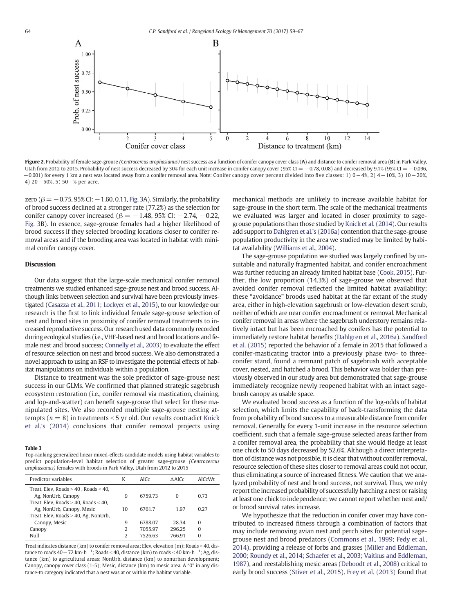<span id="page-6-0"></span>

Figure 2. Probability of female sage-grouse (Centrocercus urophasianus) nest success as a function of conifer canopy cover class (A) and distance to conifer removal area (B) in Park Valley, Utah from 2012 to 2015. Probability of nest success decreased by 30% for each unit increase in conifer canopy cover (95% CI = −0.78, 0.08) and decreased by 9.1% (95% CI = −0.096, −0.001) for every 1 km a nest was located away from a conifer removal area. Note: Conifer canopy cover percent divided into five classes: 1) 0−4%, 2) 4−10%, 3) 10−20%, 4) 20−50%, 5) 50+% per acre.

zero ( $\beta = -0.75$ , 95% CI:  $-1.60$ , 0.11, [Fig. 3](#page-7-0)A). Similarly, the probability of brood success declined at a stronger rate (77.2%) as the selection for conifer canopy cover increased ( $\beta = -1.48$ , 95% CI:  $-2.74$ ,  $-0.22$ , [Fig. 3](#page-7-0)B). In essence, sage-grouse females had a higher likelihood of brood success if they selected brooding locations closer to conifer removal areas and if the brooding area was located in habitat with minimal conifer canopy cover.

# Discussion

Our data suggest that the large-scale mechanical conifer removal treatments we studied enhanced sage-grouse nest and brood success. Although links between selection and survival have been previously investigated [\(Casazza et al., 2011; Lockyer et al., 2015](#page-8-0)), to our knowledge our research is the first to link individual female sage-grouse selection of nest and brood sites in proximity of conifer removal treatments to increased reproductive success. Our research used data commonly recorded during ecological studies (i.e., VHF-based nest and brood locations and female nest and brood success; [Connelly et al., 2003\)](#page-8-0) to evaluate the effect of resource selection on nest and brood success. We also demonstrated a novel approach to using an RSF to investigate the potential effects of habitat manipulations on individuals within a population.

Distance to treatment was the sole predictor of sage-grouse nest success in our GLMs. We confirmed that planned strategic sagebrush ecosystem restoration (i.e., conifer removal via mastication, chaining, and lop-and-scatter) can benefit sage-grouse that select for these manipulated sites. We also recorded multiple sage-grouse nesting attempts ( $n = 8$ ) in treatments < 5 yr old. Our results contradict [Knick](#page-9-0) et al.'[s \(2014\)](#page-9-0) conclusions that conifer removal projects using

### Table 3

Top-ranking generalized linear mixed-effects candidate models using habitat variables to predict population-level habitat selection of greater sage-grouse (Centrocercus urophasianus) females with broods in Park Valley, Utah from 2012 to 2015

| Predictor variables                                                                                         | K             | AIC <sub>c</sub> | $\triangle$ AICc | AICcWt   |
|-------------------------------------------------------------------------------------------------------------|---------------|------------------|------------------|----------|
| Treat. Elev. Roads $>$ 40 . Roads $<$ 40.<br>Ag, NonUrb, Canopy<br>Treat, Elev, Roads $>$ 40, Roads $<$ 40, | 9             | 6759.73          | 0                | 0.73     |
| Ag, NonUrb, Canopy, Mesic<br>Treat, Elev, Roads > 40, Ag, NonUrb,                                           | 10            | 6761.7           | 1.97             | 0.27     |
| Canopy, Mesic                                                                                               | 9             | 6788.07          | 28.34            | $\Omega$ |
| Canopy                                                                                                      | 2             | 7055.97          | 296.25           | 0        |
| Null                                                                                                        | $\mathcal{D}$ | 7526.63          | 766.91           | 0        |
|                                                                                                             |               |                  |                  |          |

Treat indicates distance (km) to conifer removal area; Elev, elevation (m); Roads  $>$  40, distance to roads 40  $-$  72 km∙h $^{-1}$ ; Roads < 40, distance (km) to roads < 40 km⋅h $^{-1}$ ; Ag, distance (km) to agricultural areas; NonUrb, distance (km) to nonurban development; Canopy, canopy cover class (1-5); Mesic, distance (km) to mesic area. A "0" in any distance-to category indicated that a nest was at or within the habitat variable.

mechanical methods are unlikely to increase available habitat for sage-grouse in the short term. The scale of the mechanical treatments we evaluated was larger and located in closer proximity to sagegrouse populations than those studied by [Knick et al. \(2014\).](#page-9-0) Our results add support to [Dahlgren et al.](#page-8-0)'s (2016a) contention that the sage-grouse population productivity in the area we studied may be limited by habitat availability [\(Williams et al., 2004\)](#page-9-0).

The sage-grouse population we studied was largely confined by unsuitable and naturally fragmented habitat, and conifer encroachment was further reducing an already limited habitat base [\(Cook, 2015\)](#page-8-0). Further, the low proportion (14.3%) of sage-grouse we observed that avoided conifer removal reflected the limited habitat availability; these "avoidance" broods used habitat at the far extant of the study area, either in high-elevation sagebrush or low-elevation desert scrub, neither of which are near conifer encroachment or removal. Mechanical conifer removal in areas where the sagebrush understory remains relatively intact but has been encroached by conifers has the potential to immediately restore habitat benefits [\(Dahlgren et al., 2016a](#page-8-0)). [Sandford](#page-9-0) [et al. \(2015\)](#page-9-0) reported the behavior of a female in 2015 that followed a conifer-masticating tractor into a previously phase two- to threeconifer stand, found a remnant patch of sagebrush with acceptable cover, nested, and hatched a brood. This behavior was bolder than previously observed in our study area but demonstrated that sage-grouse immediately recognize newly reopened habitat with an intact sagebrush canopy as usable space.

We evaluated brood success as a function of the log-odds of habitat selection, which limits the capability of back-transforming the data from probability of brood success to a measurable distance from conifer removal. Generally for every 1-unit increase in the resource selection coefficient, such that a female sage-grouse selected areas farther from a conifer removal area, the probability that she would fledge at least one chick to 50 days decreased by 52.6%. Although a direct interpretation of distance was not possible, it is clear that without conifer removal, resource selection of these sites closer to removal areas could not occur, thus eliminating a source of increased fitness. We caution that we analyzed probability of nest and brood success, not survival. Thus, we only report the increased probability of successfully hatching a nest or raising at least one chick to independence; we cannot report whether nest and/ or brood survival rates increase.

We hypothesize that the reduction in conifer cover may have contributed to increased fitness through a combination of factors that may include removing avian nest and perch sites for potential sagegrouse nest and brood predators ([Commons et al., 1999; Fedy et al.,](#page-8-0) [2014\)](#page-8-0), providing a release of forbs and grasses ([Miller and Eddleman,](#page-9-0) [2000; Roundy et al., 2014; Schaefer et al., 2003; Vaitkus and Eddleman,](#page-9-0) [1987](#page-9-0)), and reestablishing mesic areas ([Deboodt et al., 2008](#page-8-0)) critical to early brood success [\(Stiver et al., 2015](#page-9-0)). [Frey et al. \(2013\)](#page-8-0) found that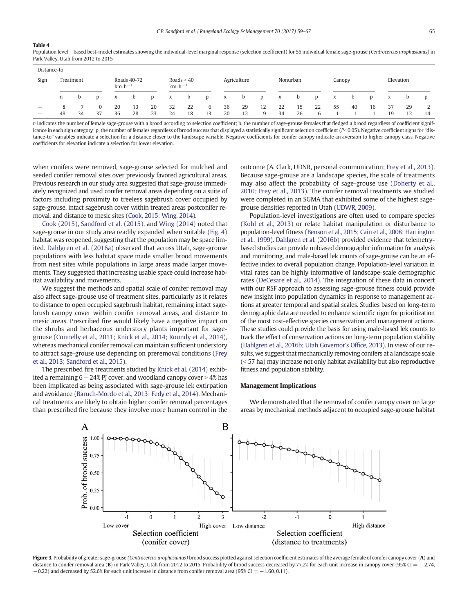#### <span id="page-7-0"></span>Table 4

Population level −based best-model estimates showing the individual-level marginal response (selection coefficient) for 56 individual female sage-grouse (Centrocercus urophasianus) in Park Valley, Utah from 2012 to 2015

| Distance-to              |           |    |                                  |          |                                   |          |             |          |          |          |          |                |           |          |    |    |    |    |          |          |    |
|--------------------------|-----------|----|----------------------------------|----------|-----------------------------------|----------|-------------|----------|----------|----------|----------|----------------|-----------|----------|----|----|----|----|----------|----------|----|
| Sign                     | Treatment |    | Roads 40-72<br>$km \cdot h^{-1}$ |          | Roads $<$ 40<br>$km \cdot h^{-1}$ |          | Agriculture |          | Nonurban |          | Canopy   |                | Elevation |          |    |    |    |    |          |          |    |
|                          | n         | b  |                                  | л        |                                   | D.       | л           | D        | D        | X        | D        | D              | X         | D        | D  | л  |    |    | X        | D        |    |
| $\overline{\phantom{0}}$ | 48        | 34 | 37                               | 20<br>36 | 13<br>28                          | 20<br>23 | 32<br>24    | 22<br>18 | b<br>12  | 36<br>20 | 29<br>12 | 12<br>$\Omega$ | 22<br>34  | 15<br>26 | ь. | 55 | 40 | 16 | 37<br>19 | 29<br>12 | 14 |

n indicates the number of female sage-grouse with a brood according to selection coefficient; b, the number of sage-grouse females that fledged a brood regardless of coefficient significance in each sign category; p, the number of females regardless of brood success that displayed a statistically significant selection coefficient (P< 0.05). Negative coefficient signs for "distance-to" variables indicate a selection for a distance closer to the landscape variable. Negative coefficients for conifer canopy indicate an aversion to higher canopy class. Negative coefficients for elevation indicate a selection for lower elevation.

when conifers were removed, sage-grouse selected for mulched and seeded conifer removal sites over previously favored agricultural areas. Previous research in our study area suggested that sage-grouse immediately recognized and used conifer removal areas depending on a suite of factors including proximity to treeless sagebrush cover occupied by sage-grouse, intact sagebrush cover within treated areas postconifer removal, and distance to mesic sites ([Cook, 2015; Wing, 2014\)](#page-8-0).

[Cook \(2015\)](#page-8-0), [Sandford et al. \(2015\)](#page-9-0), and [Wing \(2014\)](#page-9-0) noted that sage-grouse in our study area readily expanded when suitable [\(Fig. 4](#page-8-0)) habitat was reopened, suggesting that the population may be space limited. [Dahlgren et al. \(2016a\)](#page-8-0) observed that across Utah, sage-grouse populations with less habitat space made smaller brood movements from nest sites while populations in large areas made larger movements. They suggested that increasing usable space could increase habitat availability and movements.

We suggest the methods and spatial scale of conifer removal may also affect sage-grouse use of treatment sites, particularly as it relates to distance to open occupied sagebrush habitat, remaining intact sagebrush canopy cover within conifer removal areas, and distance to mesic areas. Prescribed fire would likely have a negative impact on the shrubs and herbaceous understory plants important for sagegrouse ([Connelly et al., 2011; Knick et al., 2014; Roundy et al., 2014](#page-8-0)), whereas mechanical conifer removal can maintain sufficient understory to attract sage-grouse use depending on preremoval conditions ([Frey](#page-8-0) [et al., 2013; Sandford et al., 2015\)](#page-8-0).

The prescribed fire treatments studied by [Knick et al. \(2014\)](#page-9-0) exhibited a remaining  $6-24\%$  PJ cover, and woodland canopy cover > 4% has been implicated as being associated with sage-grouse lek extirpation and avoidance [\(Baruch-Mordo et al., 2013; Fedy et al., 2014\)](#page-8-0). Mechanical treatments are likely to obtain higher conifer removal percentages than prescribed fire because they involve more human control in the outcome (A. Clark, UDNR, personal communication; [Frey et al., 2013](#page-8-0)). Because sage-grouse are a landscape species, the scale of treatments may also affect the probability of sage-grouse use ([Doherty et al.,](#page-8-0) [2010; Frey et al., 2013](#page-8-0)). The conifer removal treatments we studied were completed in an SGMA that exhibited some of the highest sagegrouse densities reported in Utah [\(UDWR, 2009](#page-9-0)).

Population-level investigations are often used to compare species [\(Kohl et al., 2013\)](#page-9-0) or relate habitat manipulation or disturbance to population-level fitness ([Benson et al., 2015; Cain et al., 2008; Harrington](#page-8-0) [et al., 1999\)](#page-8-0). [Dahlgren et al. \(2016b\)](#page-8-0) provided evidence that telemetrybased studies can provide unbiased demographic information for analysis and monitoring, and male-based lek counts of sage-grouse can be an effective index to overall population change. Population-level variation in vital rates can be highly informative of landscape-scale demographic rates [\(DeCesare et al., 2014\)](#page-8-0). The integration of these data in concert with our RSF approach to assessing sage-grouse fitness could provide new insight into population dynamics in response to management actions at greater temporal and spatial scales. Studies based on long-term demographic data are needed to enhance scientific rigor for prioritization of the most cost-effective species conservation and management actions. These studies could provide the basis for using male-based lek counts to track the effect of conservation actions on long-term population stability [\(Dahlgren et al., 2016b; Utah Governor](#page-8-0)'s Office, 2013). In view of our results, we suggest that mechanically removing conifers at a landscape scale  $(<$  57 ha) may increase not only habitat availability but also reproductive fitness and population stability.

#### Management Implications

B Α Prob. of brood success  $0.75$ 0.50  $0.25$  $0.00$  $\frac{1}{2}$ -2  $-1$  $\Omega$  $\overline{3}$  $-1$  $\Omega$ High cover Low distance Low cover High distance Selection coefficient Selection coefficient (conifer cover) (distance to treatments)

We demonstrated that the removal of conifer canopy cover on large areas by mechanical methods adjacent to occupied sage-grouse habitat

Figure 3. Probability of greater sage-grouse (Centrocercus urophasianus) brood success plotted against selection coefficient estimates of the average female of conifer canopy cover (A) and distance to conifer removal area (B) in Park Valley, Utah from 2012 to 2015. Probability of brood success decreased by 77.2% for each unit increase in canopy cover (95% CI = −2.74,  $-0.22$ ) and decreased by 52.6% for each unit increase in distance from conifer removal area (95% CI =  $-1.60$ , 0.11).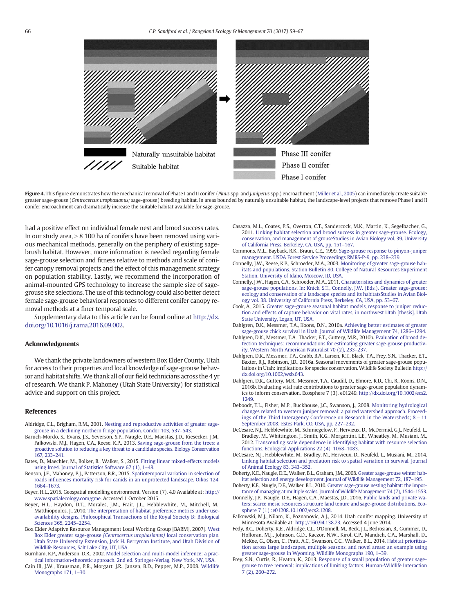<span id="page-8-0"></span>

Figure 4. This figure demonstrates how the mechanical removal of Phase I and II conifer (Pinus spp. and Juniperus spp.) encroachment ([Miller et al., 2005](#page-9-0)) can immediately create suitable greater sage-grouse (Centrocercus urophasianus; sage-grouse) breeding habitat. In areas bounded by naturally unsuitable habitat, the landscape-level projects that remove Phase I and II conifer encroachment can dramatically increase the suitable habitat available for sage-grouse.

had a positive effect on individual female nest and brood success rates. In our study area,  $> 8$  100 ha of conifers have been removed using various mechanical methods, generally on the periphery of existing sagebrush habitat. However, more information is needed regarding female sage-grouse selection and fitness relative to methods and scale of conifer canopy removal projects and the effect of this management strategy on population stability. Lastly, we recommend the incorporation of animal-mounted GPS technology to increase the sample size of sagegrouse site selections. The use of this technology could also better detect female sage-grouse behavioral responses to different conifer canopy removal methods at a finer temporal scale.

Supplementary data to this article can be found online at [http://dx.](http://dx.doi.org/10.1016/j.rama.2016.09.002) [doi.org/10.1016/j.rama.2016.09.002.](http://dx.doi.org/10.1016/j.rama.2016.09.002)

## Acknowledgments

We thank the private landowners of western Box Elder County, Utah for access to their properties and local knowledge of sage-grouse behavior and habitat shifts. We thank all of our field technicians across the 4 yr of research. We thank P. Mahoney (Utah State University) for statistical advice and support on this project.

#### References

- Aldridge, C.L., Brigham, R.M., 2001. [Nesting and reproductive activities of greater sage](http://refhub.elsevier.com/S1550-7424(16)30083-5/rf0005)[grouse in a declining northern fringe population. Condor 103, 537](http://refhub.elsevier.com/S1550-7424(16)30083-5/rf0005)–543.
- Baruch-Mordo, S., Evans, J.S., Severson, S.P., Naugle, D.E., Maestas, J.D., Kiesecker, J.M., Falkowski, M.J., Hagen, C.A., Reese, K.P., 2013. [Saving sage-grouse from the trees: a](http://refhub.elsevier.com/S1550-7424(16)30083-5/rf0010) [proactive solution to reducing a key threat to a candidate species. Biology Conservation](http://refhub.elsevier.com/S1550-7424(16)30083-5/rf0010) [167, 233](http://refhub.elsevier.com/S1550-7424(16)30083-5/rf0010)–241.
- Bates, D., Maechler, M., Bolker, B., Walker, S., 2015. [Fitting linear mixed-effects models](http://refhub.elsevier.com/S1550-7424(16)30083-5/rf0015) [using lme4. Journal of Statistics Software 67 \(1\), 1](http://refhub.elsevier.com/S1550-7424(16)30083-5/rf0015)–48.
- Benson, J.F., Mahoney, P.J., Patterson, B.R., 2015. [Spatiotemporal variation in selection of](http://refhub.elsevier.com/S1550-7424(16)30083-5/rf0020) roads infl[uences mortality risk for canids in an unprotected landscape. Oikos 124,](http://refhub.elsevier.com/S1550-7424(16)30083-5/rf0020) [1664](http://refhub.elsevier.com/S1550-7424(16)30083-5/rf0020)–1673.
- Beyer, H.L., 2015. Geospatial modelling environment. Version (7), 4.0 Available at: [http://](http://www.spatialecology.com/gme) [www.spatialecology.com/gme.](http://www.spatialecology.com/gme) Accessed 1 October 2015.
- Beyer, H.L., Haydon, D.T., Morales, J.M., Frair, J.L., Hebblewhite, M., Mitchell, M., Matthiopoulos, J., 2010. [The interpretation of habitat preference metrics under use](http://refhub.elsevier.com/S1550-7424(16)30083-5/rf0030)[availability designs. Philosophical Transactions of the Royal Society B: Biological](http://refhub.elsevier.com/S1550-7424(16)30083-5/rf0030) [Sciences 365, 2245](http://refhub.elsevier.com/S1550-7424(16)30083-5/rf0030)–2254.
- Box Elder Adaptive Resource Management Local Working Group [BARM], 2007[. [West](http://refhub.elsevier.com/S1550-7424(16)30083-5/rf0035) [Box Elder greater sage-grouse](http://refhub.elsevier.com/S1550-7424(16)30083-5/rf0035) (Centrocercus urophasianus) local conservation plan. [Utah State University Extension, Jack H. Berryman Institute, and Utah Division of](http://refhub.elsevier.com/S1550-7424(16)30083-5/rf0035) [Wildlife Resources, Salt Lake City, UT, USA](http://refhub.elsevier.com/S1550-7424(16)30083-5/rf0035).
- Burnham, K.P., Anderson, D.R., 2002. [Model selection and multi-model inference: a prac](http://refhub.elsevier.com/S1550-7424(16)30083-5/rf0040)[tical information-theoretic approach. 2nd ed. Springer-Verlag, New York, NY, USA.](http://refhub.elsevier.com/S1550-7424(16)30083-5/rf0040)
- Cain III, J.W., Krausman, P.R., Morgart, J.R., Jansen, B.D., Pepper, M.P., 2008. [Wildlife](http://refhub.elsevier.com/S1550-7424(16)30083-5/rf0045) [Monographs 171, 1](http://refhub.elsevier.com/S1550-7424(16)30083-5/rf0045)–30.
- Casazza, M.L., Coates, P.S., Overton, C.T., Sandercock, M.K., Martin, K., Segelbacher, G., 2011. [Linking habitat selection and brood success in greater sage-grouse. Ecology,](http://refhub.elsevier.com/S1550-7424(16)30083-5/rf0050) [conservation, and management of grouseStudies in Avian Biology vol. 39. University](http://refhub.elsevier.com/S1550-7424(16)30083-5/rf0050) [of California Press, Berkeley, CA, USA, pp. 151](http://refhub.elsevier.com/S1550-7424(16)30083-5/rf0050)–167.
- Commons, M.L., Bayback, R.K., Braun, C.E., 1999. [Sage-grouse response to pinyon-juniper](http://refhub.elsevier.com/S1550-7424(16)30083-5/rf0055) [management. USDA Forest Service Proceedings RMRS-P-9, pp. 238](http://refhub.elsevier.com/S1550-7424(16)30083-5/rf0055)–239.
- Connelly, J.W., Reese, K.P., Schroeder, M.A., 2003. [Monitoring of greater sage-grouse hab](http://refhub.elsevier.com/S1550-7424(16)30083-5/rf0060)[itats and populations. Station Bulletin 80. College of Natural Resources Experiment](http://refhub.elsevier.com/S1550-7424(16)30083-5/rf0060) [Station. University of Idaho, Moscow, ID, USA](http://refhub.elsevier.com/S1550-7424(16)30083-5/rf0060).
- Connelly, J.W., Hagen, C.A., Schroeder, M.A., 2011. [Characteristics and dynamics of greater](http://refhub.elsevier.com/S1550-7424(16)30083-5/rf0065) [sage-grouse populations. In: Knick, S.T., Connelly, J.W. \(Eds.\), Greater sage-grouse:](http://refhub.elsevier.com/S1550-7424(16)30083-5/rf0065) [ecology and conservation of a landscape species and its habitatsStudies in Avian Biol](http://refhub.elsevier.com/S1550-7424(16)30083-5/rf0065)[ogy vol. 38. University of California Press, Berkeley, CA, USA, pp. 53](http://refhub.elsevier.com/S1550-7424(16)30083-5/rf0065)–67.
- Cook, A., 2015. [Greater sage-grouse seasonal habitat models, response to juniper reduc](http://refhub.elsevier.com/S1550-7424(16)30083-5/rf0070)[tion and effects of capture behavior on vital rates, in northwest Utah \[thesis\]. Utah](http://refhub.elsevier.com/S1550-7424(16)30083-5/rf0070) [State University, Logan, UT, USA.](http://refhub.elsevier.com/S1550-7424(16)30083-5/rf0070)
- Dahlgren, D.K., Messmer, T.A., Koons, D.N., 2010a. [Achieving better estimates of greater](http://refhub.elsevier.com/S1550-7424(16)30083-5/rf0075) [sage-grouse chick survival in Utah. Journal of Wildlife Management 74, 1286](http://refhub.elsevier.com/S1550-7424(16)30083-5/rf0075)–1294.
- Dahlgren, D.K., Messmer, T.A., Thacker, E.T., Guttery, M.R., 2010b. [Evaluation of brood de](http://refhub.elsevier.com/S1550-7424(16)30083-5/rf0080)[tection techniques: recommendations for estimating greater sage-grouse productiv](http://refhub.elsevier.com/S1550-7424(16)30083-5/rf0080)[ity. Western North American Naturalist 70 \(2\), 233](http://refhub.elsevier.com/S1550-7424(16)30083-5/rf0080)–237.
- Dahlgren, D.K., Messmer, T.A., Crabb, B.A., Larsen, R.T., Black, T.A., Frey, S.N., Thacker, E.T., Baxter, R.J., Robinson, J.D., 2016a. Seasonal movements of greater sage-grouse populations in Utah: implications for species conservation. Wildlife Society Bulletin http:// dx.doi.org/[10.1002/wsb.643](http://dx.doi.org/10.1002/wsb.643).
- Dahlgren, D.K., Guttery, M.R., Messmer, T.A., Caudill, D., Elmore, R.D., Chi, R., Koons, D.N., 2016b. Evaluating vital rate contributions to greater sage-grouse population dynamics to inform conservation. Ecosphere 7 (3), e01249. http://dx.doi.org/[10.1002/ecs2.](http://dx.doi.org/10.1002/ecs2.1249) [1249.](http://dx.doi.org/10.1002/ecs2.1249)
- Deboodt, T.L., Fisher, M.P., Buckhouse, J.C., Swanson, J., 2008. [Monitoring hydrological](http://refhub.elsevier.com/S1550-7424(16)30083-5/rf0095) [changes related to western juniper removal: a paired watershed approach. Proceed](http://refhub.elsevier.com/S1550-7424(16)30083-5/rf0095)[ings of the Third Interagency Conference on Research in the Watersheds; 8](http://refhub.elsevier.com/S1550-7424(16)30083-5/rf0095)−11 [September 2008; Estes Park, CO, USA, pp. 227](http://refhub.elsevier.com/S1550-7424(16)30083-5/rf0095)–232.
- DeCesare, N.J., Hebblewhite, M., Schmiegelow, F., Hervieux, D., McDermid, G.J., Neufeld, L., Bradley, M., Whittington, J., Smith, K.G., Morgantini, L.E., Wheatley, M., Musiani, M., 2012. [Transcending scale dependence in identifying habitat with resource selection](http://refhub.elsevier.com/S1550-7424(16)30083-5/rf0100) [functions. Ecological Applications 22 \(4\), 1068](http://refhub.elsevier.com/S1550-7424(16)30083-5/rf0100)–1083.
- DeCesare, N.J., Hebblewhite, M., Bradley, M., Hervieux, D., Neufeld, L., Musiani, M., 2014. [Linking habitat selection and predation risk to spatial variation in survival. Journal](http://refhub.elsevier.com/S1550-7424(16)30083-5/rf0105) [of Animal Ecology 83, 343](http://refhub.elsevier.com/S1550-7424(16)30083-5/rf0105)–352.
- Doherty, K.E., Naugle, D.E., Walker, B.L., Graham, J.M., 2008. [Greater sage-grouse winter hab](http://refhub.elsevier.com/S1550-7424(16)30083-5/rf0110)[itat selection and energy development. Journal of Wildlife Management 72, 187](http://refhub.elsevier.com/S1550-7424(16)30083-5/rf0110)–195.
- Doherty, K.E., Naugle, D.E., Walker, B.L., 2010. [Greater sage-grouse nesting habitat: the impor](http://refhub.elsevier.com/S1550-7424(16)30083-5/rf0115)[tance of managing at multiple scales. Journal of Wildlife Management 74 \(7\), 1544](http://refhub.elsevier.com/S1550-7424(16)30083-5/rf0115)–1553.
- Donnelly, J.P., Naugle, D.E., Hagen, C.A., Maestas, J.D., 2016. [Public lands and private wa](http://refhub.elsevier.com/S1550-7424(16)30083-5/rf9000)[ters: scarce mesic resources structure land tenure and sage-grouse distributions. Eco](http://refhub.elsevier.com/S1550-7424(16)30083-5/rf9000)[sphere 7 \(1\) :e01208.10.1002/ecs2.1208](http://refhub.elsevier.com/S1550-7424(16)30083-5/rf9000).
- Falkowski, M.J., Nilam, K., Poznanovic, A.J., 2014. Utah conifer mapping. University of Minnesota Available at: <http://160.94.138.23>. Accessed 4 June 2014.
- Fedy, B.C., Doherty, K.E., Aldridge, C.L., O'Donnell, M., Beck, J.L., Bedrosian, B., Gummer, D., Holloran, M.J., Johnson, G.D., Kaczor, N.W., Kirol, C.P., Mandich, C.A., Marshall, D., McKee, G., Olson, C., Pratt, A.C., Swanson, C.C., Walker, B.L., 2014. [Habitat prioritiza](http://refhub.elsevier.com/S1550-7424(16)30083-5/rf0125)[tion across large landscapes, multiple seasons, and novel areas: an example using](http://refhub.elsevier.com/S1550-7424(16)30083-5/rf0125) [greater sage-grouse in Wyoming. Wildlife Monographs 190, 1](http://refhub.elsevier.com/S1550-7424(16)30083-5/rf0125)–39.
- Frey, S.N., Curtis, R., Heaton, K., 2013. [Response of a small population of greater sage](http://refhub.elsevier.com/S1550-7424(16)30083-5/rf0130)[grouse to tree removal: implications of limiting factors. Human-Wildlife Interaction](http://refhub.elsevier.com/S1550-7424(16)30083-5/rf0130)  $(2)$ , 260–272.